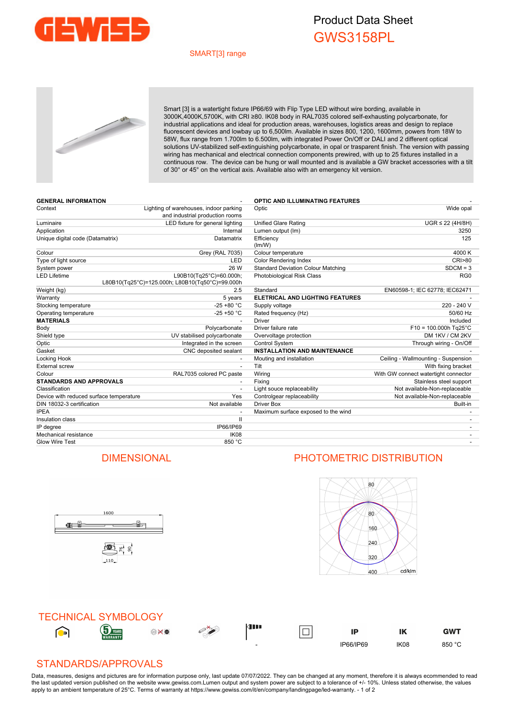

## Product Data Sheet GWS3158PL

## SMART[3] range



Smart [3] is a watertight fixture IP66/69 with Flip Type LED without wire bording, available in 3000K,4000K,5700K, with CRI ≥80. IK08 body in RAL7035 colored self-exhausting polycarbonate, for industrial applications and ideal for production areas, warehouses, logistics areas and design to replace fluorescent devices and lowbay up to 6,500lm. Available in sizes 800, 1200, 1600mm, powers from 18W to 58W, flux range from 1.700lm to 6.500lm, with integrated Power On/Off or DALI and 2 different optical solutions UV-stabilized self-extinguishing polycarbonate, in opal or trasparent finish. The version with passing wiring has mechanical and electrical connection components prewired, with up to 25 fixtures installed in a continuous row. The device can be hung or wall mounted and is available a GW bracket accessories with a tilt of 30° or 45° on the vertical axis. Available also with an emergency kit version.

| <b>GENERAL INFORMATION</b>              |                                                                            | <b>OPTIC AND ILLUMINATING FEATURES</b>    |                                      |
|-----------------------------------------|----------------------------------------------------------------------------|-------------------------------------------|--------------------------------------|
| Context                                 | Lighting of warehouses, indoor parking<br>and industrial production rooms  | Optic                                     | Wide opal                            |
| Luminaire                               | LED fixture for general lighting                                           | <b>Unified Glare Rating</b>               | $UGR \leq 22$ (4H/8H)                |
| Application                             | Internal                                                                   | Lumen output (Im)                         | 3250                                 |
| Unique digital code (Datamatrix)        | Datamatrix                                                                 | Efficiency<br>(lm/W)                      | 125                                  |
| Colour                                  | <b>Grey (RAL 7035)</b>                                                     | Colour temperature                        | 4000 K                               |
| Type of light source                    | LED                                                                        | Color Rendering Index                     | <b>CRI&gt;80</b>                     |
| System power                            | 26 W                                                                       | <b>Standard Deviation Colour Matching</b> | $SDCM = 3$                           |
| <b>LED Lifetime</b>                     | L90B10(Tg25°C)=60.000h;<br>L80B10(Tq25°C)=125.000h; L80B10(Tq50°C)=99.000h | <b>Photobiological Risk Class</b>         | RG <sub>0</sub>                      |
| Weight (kg)                             | 2.5                                                                        | Standard                                  | EN60598-1; IEC 62778; IEC62471       |
| Warranty                                | 5 years                                                                    | <b>ELETRICAL AND LIGHTING FEATURES</b>    |                                      |
| Stocking temperature                    | $-25 + 80 °C$                                                              | Supply voltage                            | 220 - 240 V                          |
| Operating temperature                   | $-25 + 50 °C$                                                              | Rated frequency (Hz)                      | 50/60 Hz                             |
| <b>MATERIALS</b>                        |                                                                            | <b>Driver</b>                             | Included                             |
| Body                                    | Polycarbonate                                                              | Driver failure rate                       | $F10 = 100.000h$ Tg25°C              |
| Shield type                             | UV stabilised polycarbonate                                                | Overvoltage protection                    | DM 1KV / CM 2KV                      |
| Optic                                   | Integrated in the screen                                                   | Control System                            | Through wiring - On/Off              |
| Gasket                                  | CNC deposited sealant                                                      | <b>INSTALLATION AND MAINTENANCE</b>       |                                      |
| Locking Hook                            |                                                                            | Mouting and installation                  | Ceiling - Wallmounting - Suspension  |
| <b>External screw</b>                   | $\overline{\phantom{a}}$                                                   | Tilt                                      | With fixing bracket                  |
| Colour                                  | RAL7035 colored PC paste                                                   | Wiring                                    | With GW connect watertight connector |
| <b>STANDARDS AND APPROVALS</b>          |                                                                            | Fixing                                    | Stainless steel support              |
| Classification                          |                                                                            | Light souce replaceability                | Not available-Non-replaceable        |
| Device with reduced surface temperature | Yes                                                                        | Controlgear replaceability                | Not available-Non-replaceable        |
| DIN 18032-3 certification               | Not available                                                              | <b>Driver Box</b>                         | Built-in                             |
| <b>IPEA</b>                             |                                                                            | Maximum surface exposed to the wind       |                                      |
| Insulation class                        | $\mathbf{II}$                                                              |                                           |                                      |
| IP degree                               | IP66/IP69                                                                  |                                           |                                      |
| Mechanical resistance                   | <b>IK08</b>                                                                |                                           |                                      |
| <b>Glow Wire Test</b>                   | 850 °C                                                                     |                                           |                                      |

## DIMENSIONAL PHOTOMETRIC DISTRIBUTION



**General** i<br>i 雪片。

1600



## STANDARDS/APPROVALS

Data, measures, designs and pictures are for information purpose only, last update 07/07/2022. They can be changed at any moment, therefore it is always ecommended to read the last updated version published on the website www.gewiss.com.Lumen output and system power are subject to a tolerance of +/- 10%. Unless stated otherwise, the values apply to an ambient temperature of 25°C. Terms of warranty at https://www.gewiss.com/it/en/company/landingpage/led-warranty. - 1 of 2